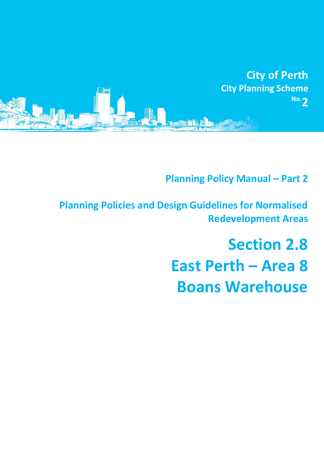

**Planning Policy Manual - Part 2** 

**Planning Policies and Design Guidelines for Normalised Redevelopment Areas**

> **Section 2.8 East Perth – Area 8 Boans Warehouse**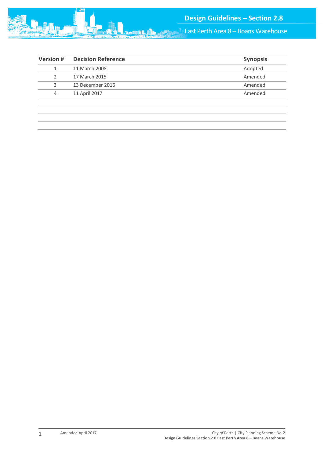

East Perth Area 8 – Boans Warehouse

| <b>Version#</b> | <b>Decision Reference</b> | <b>Synopsis</b> |
|-----------------|---------------------------|-----------------|
|                 | 11 March 2008             | Adopted         |
|                 | 17 March 2015             | Amended         |
| 3               | 13 December 2016          | Amended         |
| 4               | 11 April 2017             | Amended         |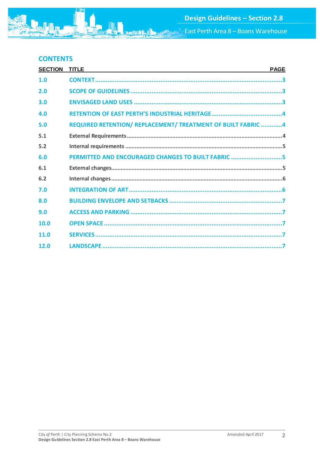**East Perth Area 8 - Boans Warehouse** 

# **CONTENTS**

| <b>SECTION</b> | <b>TITLE</b><br><u> 1999 - Johann Stoff, amerikansk politiker (d. 1989)</u> | <b>PAGE</b> |
|----------------|-----------------------------------------------------------------------------|-------------|
| 1.0            |                                                                             |             |
| 2.0            |                                                                             |             |
| 3.0            |                                                                             |             |
| 4.0            |                                                                             |             |
| 5.0            | REQUIRED RETENTION/ REPLACEMENT/ TREATMENT OF BUILT FABRIC 4                |             |
| 5.1            |                                                                             |             |
| 5.2            |                                                                             |             |
| 6.0            | PERMITTED AND ENCOURAGED CHANGES TO BUILT FABRIC 5                          |             |
| 6.1            |                                                                             |             |
| 6.2            |                                                                             |             |
| 7.0            |                                                                             |             |
| 8.0            |                                                                             |             |
| 9.0            |                                                                             |             |
| 10.0           |                                                                             |             |
| 11.0           |                                                                             |             |
| 12.0           |                                                                             |             |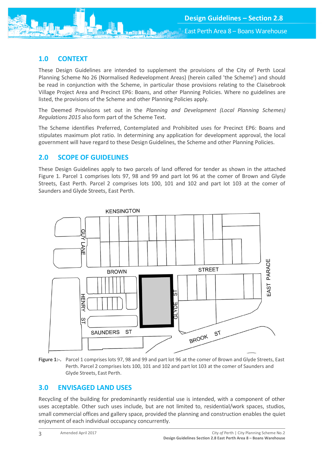

# <span id="page-3-0"></span>**1.0 CONTEXT**

These Design Guidelines are intended to supplement the provisions of the City of Perth Local Planning Scheme No 26 (Normalised Redevelopment Areas) (herein called 'the Scheme') and should be read in conjunction with the Scheme, in particular those provisions relating to the Claisebrook Village Project Area and Precinct EP6: Boans, and other Planning Policies. Where no guidelines are listed, the provisions of the Scheme and other Planning Policies apply.

The Deemed Provisions set out in the *Planning and Development (Local Planning Schemes) Regulations 2015* also form part of the Scheme Text.

The Scheme identifies Preferred, Contemplated and Prohibited uses for Precinct EP6: Boans and stipulates maximum plot ratio. In determining any application for development approval, the local government will have regard to these Design Guidelines, the Scheme and other Planning Policies.

## <span id="page-3-1"></span>**2.0 SCOPE OF GUIDELINES**

These Design Guidelines apply to two parcels of land offered for tender as shown in the attached Figure 1. Parcel 1 comprises lots 97, 98 and 99 and part lot 96 at the comer of Brown and Glyde Streets, East Perth. Parcel 2 comprises lots 100, 101 and 102 and part lot 103 at the comer of Saunders and Glyde Streets, East Perth.



**Figure 1:-.** Parcel 1 comprises lots 97, 98 and 99 and part lot 96 at the comer of Brown and Glyde Streets, East Perth. Parcel 2 comprises lots 100, 101 and 102 and part lot 103 at the comer of Saunders and Glyde Streets, East Perth.

## <span id="page-3-2"></span>**3.0 ENVISAGED LAND USES**

Recycling of the building for predominantly residential use is intended, with a component of other uses acceptable. Other such uses include, but are not limited to, residential/work spaces, studios, small commercial offices and gallery space, provided the planning and construction enables the quiet enjoyment of each individual occupancy concurrently.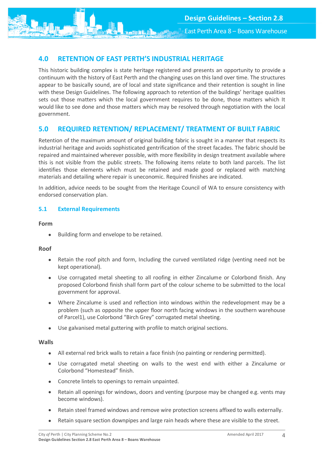East Perth Area 8 – Boans Warehouse

# <span id="page-4-0"></span>**4.0 RETENTION OF EAST PERTH'S INDUSTRIAL HERITAGE**

This historic building complex is state heritage registered and presents an opportunity to provide a continuum with the history of East Perth and the changing uses on this land over time. The structures appear to be basically sound, are of local and state significance and their retention is sought in line with these Design Guidelines. The following approach to retention of the buildings' heritage qualities sets out those matters which the local government requires to be done, those matters which It would like to see done and those matters which may be resolved through negotiation with the local government.

## <span id="page-4-1"></span>**5.0 REQUIRED RETENTION/ REPLACEMENT/ TREATMENT OF BUILT FABRIC**

Retention of the maximum amount of original building fabric is sought in a manner that respects its industrial heritage and avoids sophisticated gentrification of the street facades. The fabric should be repaired and maintained wherever possible, with more flexibility in design treatment available where this is not visible from the public streets. The following items relate to both land parcels. The list identifies those elements which must be retained and made good or replaced with matching materials and detailing where repair is uneconomic. Required finishes are indicated.

In addition, advice needs to be sought from the Heritage Council of WA to ensure consistency with endorsed conservation plan.

### <span id="page-4-2"></span>**5.1 External Requirements**

#### **Form**

• Building form and envelope to be retained.

#### **Roof**

- Retain the roof pitch and form, Including the curved ventilated ridge (venting need not be kept operational).
- Use corrugated metal sheeting to all roofing in either Zincalume or Colorbond finish. Any proposed Colorbond finish shall form part of the colour scheme to be submitted to the local government for approval.
- Where Zincalume is used and reflection into windows within the redevelopment may be a problem (such as opposite the upper floor north facing windows in the southern warehouse of Parcel1), use Colorbond "Birch Grey" corrugated metal sheeting.
- Use galvanised metal guttering with profile to match original sections.

#### **Walls**

- All external red brick walls to retain a face finish (no painting or rendering permitted).
- Use corrugated metal sheeting on walls to the west end with either a Zincalume or Colorbond "Homestead" finish.
- Concrete lintels to openings to remain unpainted.
- Retain all openings for windows, doors and venting (purpose may be changed e.g. vents may become windows).
- Retain steel framed windows and remove wire protection screens affixed to walls externally.
- Retain square section downpipes and large rain heads where these are visible to the street.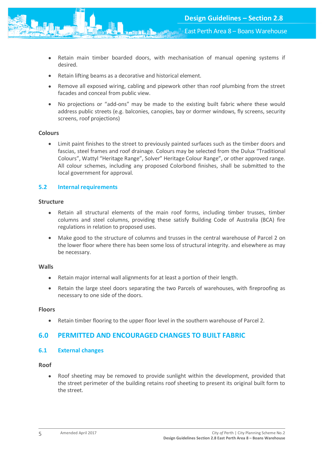

- Retain main timber boarded doors, with mechanisation of manual opening systems if desired.
- Retain lifting beams as a decorative and historical element.
- Remove all exposed wiring, cabling and pipework other than roof plumbing from the street facades and conceal from public view.
- No projections or "add-ons" may be made to the existing built fabric where these would address public streets (e.g. balconies, canopies, bay or dormer windows, fly screens, security screens, roof projections)

#### **Colours**

 Limit paint finishes to the street to previously painted surfaces such as the timber doors and fascias, steel frames and roof drainage. Colours may be selected from the Dulux "Traditional Colours", Wattyl "Heritage Range", Solver" Heritage Colour Range", or other approved range. All colour schemes, including any proposed Colorbond finishes, shall be submitted to the local government for approval.

### <span id="page-5-0"></span>**5.2 Internal requirements**

#### **Structure**

- Retain all structural elements of the main roof forms, including timber trusses, timber columns and steel columns, providing these satisfy Building Code of Australia (BCA) fire regulations in relation to proposed uses.
- Make good to the structure of columns and trusses in the central warehouse of Parcel 2 on the lower floor where there has been some loss of structural integrity. and elsewhere as may be necessary.

#### **Walls**

- Retain major internal wall alignments for at least a portion of their length.
- Retain the large steel doors separating the two Parcels of warehouses, with fireproofing as necessary to one side of the doors.

#### **Floors**

Retain timber flooring to the upper floor level in the southern warehouse of Parcel 2.

## <span id="page-5-1"></span>**6.0 PERMITTED AND ENCOURAGED CHANGES TO BUILT FABRIC**

### <span id="page-5-2"></span>**6.1 External changes**

#### **Roof**

• Roof sheeting may be removed to provide sunlight within the development, provided that the street perimeter of the building retains roof sheeting to present its original built form to the street.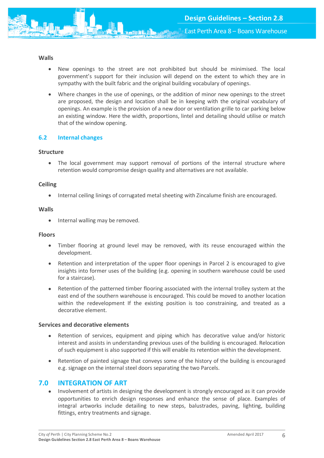

### **Walls**

- New openings to the street are not prohibited but should be minimised. The local government's support for their inclusion will depend on the extent to which they are in sympathy with the built fabric and the original building vocabulary of openings.
- Where changes in the use of openings, or the addition of minor new openings to the street are proposed, the design and location shall be in keeping with the original vocabulary of openings. An example is the provision of a new door or ventilation grille to car parking below an existing window. Here the width, proportions, lintel and detailing should utilise or match that of the window opening.

### <span id="page-6-0"></span>**6.2 Internal changes**

#### **Structure**

• The local government may support removal of portions of the internal structure where retention would compromise design quality and alternatives are not available.

#### **Ceiling**

Internal ceiling linings of corrugated metal sheeting with Zincalume finish are encouraged.

#### **Walls**

• Internal walling may be removed.

#### **Floors**

- Timber flooring at ground level may be removed, with its reuse encouraged within the development.
- Retention and interpretation of the upper floor openings in Parcel 2 is encouraged to give insights into former uses of the building (e.g. opening in southern warehouse could be used for a staircase).
- Retention of the patterned timber flooring associated with the internal trolley system at the east end of the southern warehouse is encouraged. This could be moved to another location within the redevelopment If the existing position is too constraining, and treated as a decorative element.

#### **Services and decorative elements**

- Retention of services, equipment and piping which has decorative value and/or historic interest and assists in understanding previous uses of the building is encouraged. Relocation of such equipment is also supported if this will enable its retention within the development.
- Retention of painted signage that conveys some of the history of the building is encouraged e.g. signage on the internal steel doors separating the two Parcels.

## <span id="page-6-1"></span>**7.0 INTEGRATION OF ART**

• Involvement of artists in designing the development is strongly encouraged as it can provide opportunities to enrich design responses and enhance the sense of place. Examples of integral artworks include detailing to new steps, balustrades, paving, lighting, building fittings, entry treatments and signage.